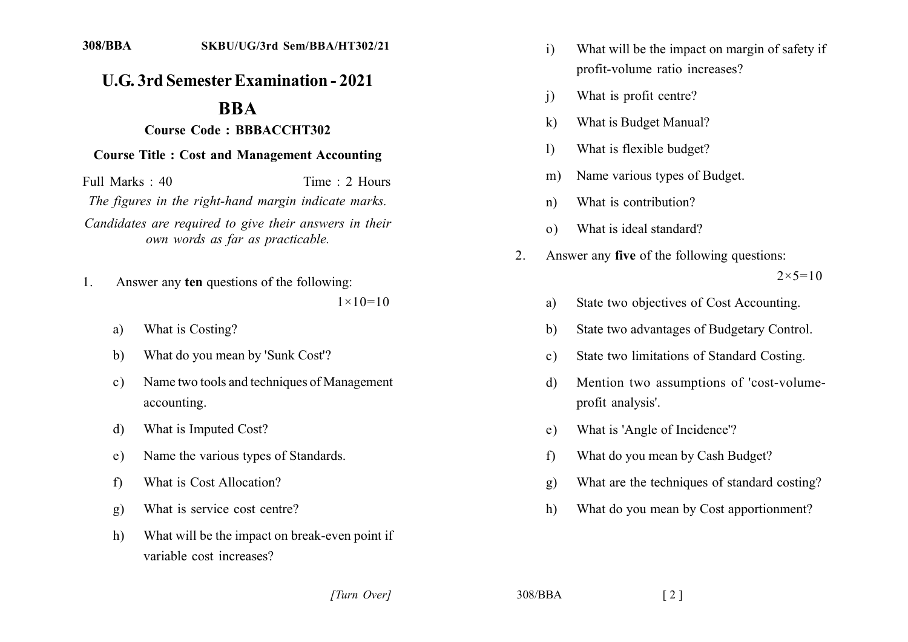## **U.G. 3rd Semester Examination - 2021**

## **BBA**

## **21211212 Course Code: BBBACCHT302**

## **21212 Course Title : Cost and Management Accounting**

 $Full Marks: 40$  Time  $\cdot$  2 Hours *The figures in the right-hand margin indicate marks.* Candidates are required to give their answers in their *own words as far as practicable.* 

- 1. Answer any **ten** questions of the following:  $1 \times 10 = 10$ 
	- a) What is Costing?
	- b) What do you mean by 'Sunk Cost'?
	- c) Name two tools and techniques of Management accounting.
	- d) What is Imputed Cost?
	- e) Name the various types of Standards.
	- f) What is Cost Allocation?
	- g) What is service cost centre?
	- h) What will be the impact on break-even point if variable cost increases?
- i) What will be the impact on margin of safety if profit-volume ratio increases?
- i) What is profit centre?
- k) What is Budget Manual?
- 1) What is flexible budget?
- m) Name various types of Budget.
- n) What is contribution?
- o) What is ideal standard?
- 2. Answer any **five** of the following questions:  $2 \times 5 = 10$ 
	- a) State two objectives of Cost Accounting.
	- b) State two advantages of Budgetary Control.
	- c) State two limitations of Standard Costing.
	- d) Mention two assumptions of 'cost-volumeprofit analysis'.
	- e) What is 'Angle of Incidence'?
	- f) What do you mean by Cash Budget?
	- g) What are the techniques of standard costing?
	- h) What do you mean by Cost apportionment?

*[2] J08/BBA* [2]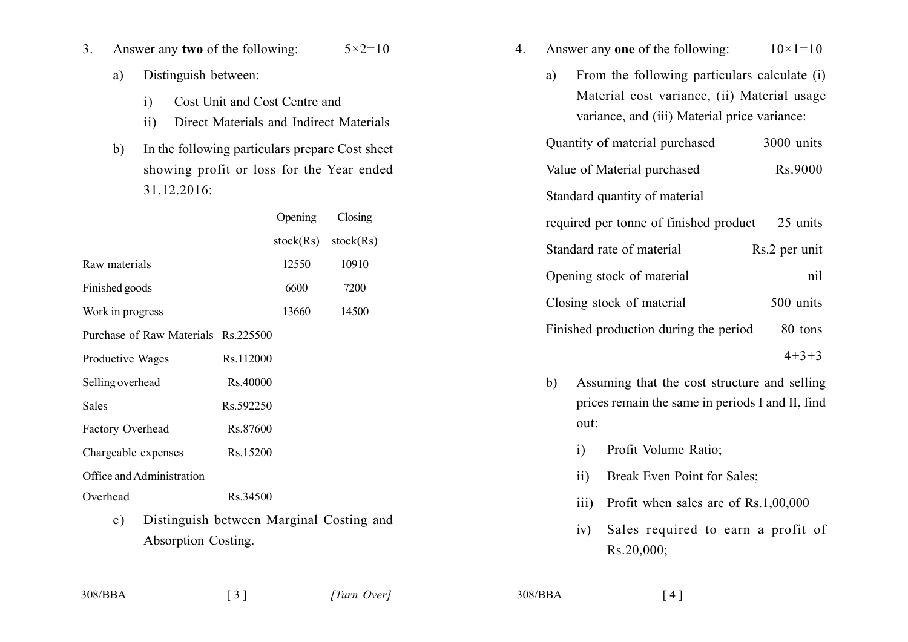- Answer any two of the following:  $5 \times 2 = 10$  $3<sub>1</sub>$ 
	- Distinguish between: a)
		- $i)$ Cost Unit and Cost Centre and
		- $ii)$ Direct Materials and Indirect Materials

 $b)$ In the following particulars prepare Cost sheet showing profit or loss for the Year ended  $31.12.2016$ :

|                                            |           | Opening   | Closing   |
|--------------------------------------------|-----------|-----------|-----------|
|                                            |           | stock(Rs) | stock(Rs) |
| Raw materials                              |           | 12550     | 10910     |
| Finished goods                             |           | 6600      | 7200      |
| Work in progress                           |           | 13660     | 14500     |
| Purchase of Raw Materials Rs.225500        |           |           |           |
| Productive Wages                           | Rs.112000 |           |           |
| Selling overhead                           | Rs.40000  |           |           |
| Sales                                      | Rs.592250 |           |           |
| <b>Factory Overhead</b>                    | Rs.87600  |           |           |
| Chargeable expenses                        | Rs.15200  |           |           |
| Office and Administration                  |           |           |           |
| Overhead                                   | Rs.34500  |           |           |
| Distinguish between Marginal Costing<br>c) |           |           |           |

and Absorption Costing.

- Answer any one of the following:  $10 \times 1 = 10$  $\overline{4}$ .
	- From the following particulars calculate (i) a) Material cost variance, (ii) Material usage variance, and (iii) Material price variance:

| Quantity of material purchased         | 3000 units |
|----------------------------------------|------------|
| Value of Material purchased            | Rs.9000    |
| Standard quantity of material          |            |
| required per tonne of finished product | 25 units   |

| Standard rate of material             | Rs.2 per unit |
|---------------------------------------|---------------|
| Opening stock of material             | nil           |
| Closing stock of material             | 500 units     |
| Finished production during the period | 80 tons       |

 $4+3+3$ 

- Assuming that the cost structure and selling  $b)$ prices remain the same in periods I and II, find out:
	- Profit Volume Ratio;  $\mathbf{i}$
	- Break Even Point for Sales;  $ii)$
	- Profit when sales are of Rs.1,00,000  $\overline{\text{iii}}$
	- Sales required to earn a profit of  $iv)$  $Rs.20,000;$

308/BBA

 $308/BBA$